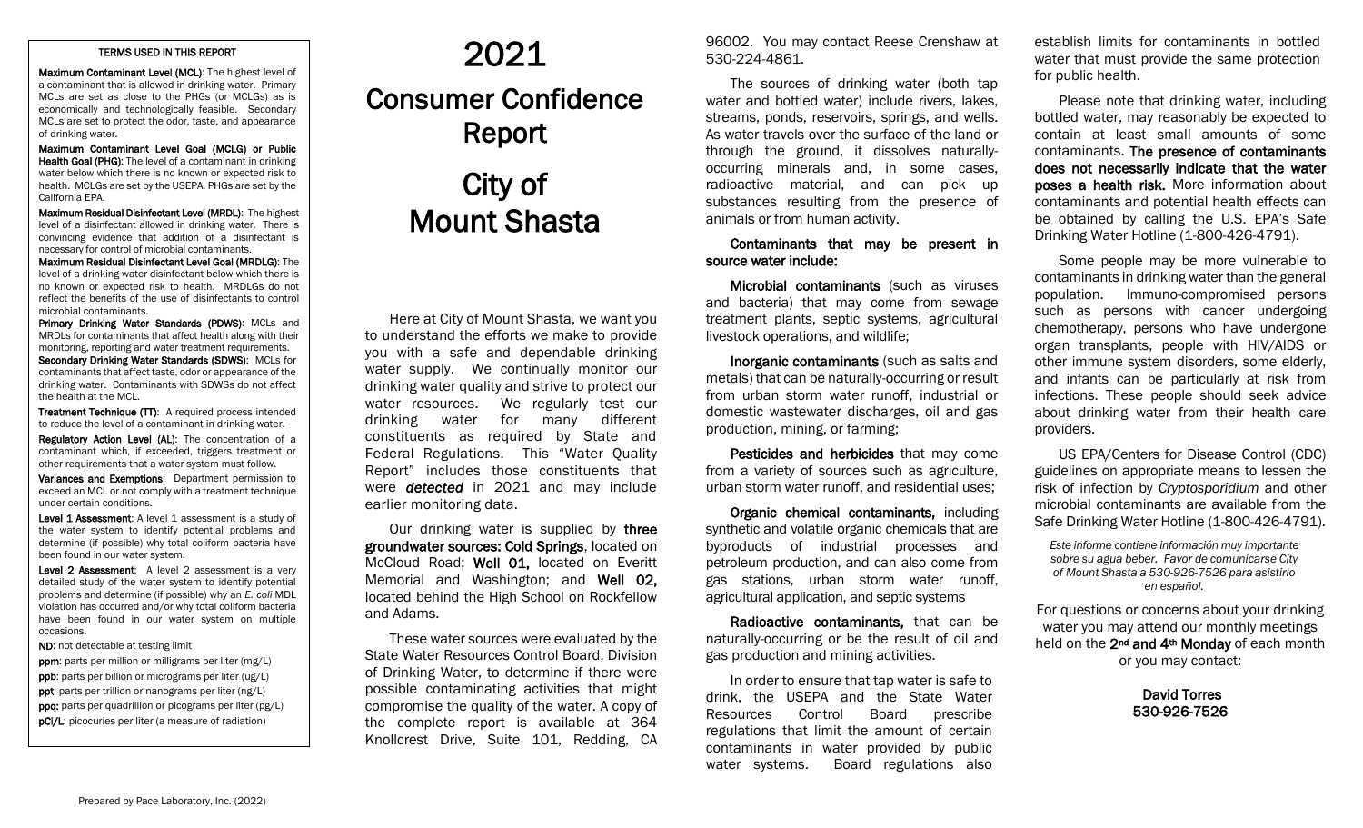## TERMS USED IN THIS REPORT

Maximum Contaminant Level (MCL): The highest level of a contaminant that is allowed in drinking water. Primary MCLs are set as close to the PHGs (or MCLGs) as is economically and technologically feasible. Secondary MCLs are set to protect the odor, taste, and appearance of drinking water.

Maximum Contaminant Level Goal (MCLG) or Public Health Goal (PHG): The level of a contaminant in drinking water below which there is no known or expected risk to health. MCLGs are set by the USEPA. PHGs are set by the California EPA.

Maximum Residual Disinfectant Level (MRDL): The highest level of a disinfectant allowed in drinking water. There is convincing evidence that addition of a disinfectant is necessary for control of microbial contaminants.

Maximum Residual Disinfectant Level Goal (MRDLG): The level of a drinking water disinfectant below which there is no known or expected risk to health. MRDLGs do not reflect the benefits of the use of disinfectants to control microbial contaminants.

Primary Drinking Water Standards (PDWS): MCLs and MRDLs for contaminants that affect health along with their monitoring, reporting and water treatment requirements. Secondary Drinking Water Standards (SDWS): MCLs for contaminants that affect taste, odor or appearance of the drinking water. Contaminants with SDWSs do not affect the health at the MCL.

Treatment Technique (TT): A required process intended to reduce the level of a contaminant in drinking water.

Regulatory Action Level (AL): The concentration of a contaminant which, if exceeded, triggers treatment or other requirements that a water system must follow.

Variances and Exemptions: Department permission to exceed an MCL or not comply with a treatment technique under certain conditions.

Level 1 Assessment: A level 1 assessment is a study of the water system to identify potential problems and determine (if possible) why total coliform bacteria have been found in our water system.

Level 2 Assessment: A level 2 assessment is a very detailed study of the water system to identify potential problems and determine (if possible) why an *E. coli* MDL violation has occurred and/or why total coliform bacteria have been found in our water system on multiple occasions.

## ND: not detectable at testing limit

ppm: parts per million or milligrams per liter (mg/L)

- ppb: parts per billion or micrograms per liter (ug/L)
- pg<br>gr:<br>bio ppt: parts per trillion or nanograms per liter (ng/L)
- **ppq:** parts per quadrillion or picograms per liter (pg/L)
- pCi/L: picocuries per liter (a measure of radiation)

## 2021 Consumer Confidence Report City of

Mount Shasta

Here at City of Mount Shasta, we want you to understand the efforts we make to provide you with a safe and dependable drinking water supply. We continually monitor our drinking water quality and strive to protect our water resources. We regularly test our drinking water for many different constituents as required by State and Federal Regulations. This "Water Quality Report" includes those constituents that were *detected* in 2021 and may include earlier monitoring data.

Our drinking water is supplied by three groundwater sources: Cold Springs, located on McCloud Road; Well 01, located on Everitt Memorial and Washington; and Well 02, located behind the High School on Rockfellow and Adams.

These water sources were evaluated by the State Water Resources Control Board, Division of Drinking Water, to determine if there were possible contaminating activities that might compromise the quality of the water. A copy of the complete report is available at 364 Knollcrest Drive, Suite 101, Redding, CA 96002. You may contact Reese Crenshaw at 530-224-4861.

The sources of drinking water (both tap water and bottled water) include rivers, lakes, streams, ponds, reservoirs, springs, and wells. As water travels over the surface of the land or through the ground, it dissolves naturallyoccurring minerals and, in some cases, radioactive material, and can pick up substances resulting from the presence of animals or from human activity.

Contaminants that may be present in source water include:

Microbial contaminants (such as viruses and bacteria) that may come from sewage treatment plants, septic systems, agricultural livestock operations, and wildlife;

Inorganic contaminants (such as salts and metals) that can be naturally-occurring or result from urban storm water runoff, industrial or domestic wastewater discharges, oil and gas production, mining, or farming;

Pesticides and herbicides that may come from a variety of sources such as agriculture, urban storm water runoff, and residential uses;

Organic chemical contaminants, including synthetic and volatile organic chemicals that are byproducts of industrial processes and petroleum production, and can also come from gas stations, urban storm water runoff, agricultural application, and septic systems

Radioactive contaminants, that can be naturally-occurring or be the result of oil and gas production and mining activities.

In order to ensure that tap water is safe to drink, the USEPA and the State Water Resources Control Board prescribe regulations that limit the amount of certain contaminants in water provided by public water systems. Board regulations also

establish limits for contaminants in bottled water that must provide the same protection for public health.

Please note that drinking water, including bottled water, may reasonably be expected to contain at least small amounts of some contaminants. The presence of contaminants does not necessarily indicate that the water poses a health risk. More information about contaminants and potential health effects can be obtained by calling the U.S. EPA's Safe Drinking Water Hotline (1-800-426-4791).

Some people may be more vulnerable to contaminants in drinking water than the general population. Immuno-compromised persons such as persons with cancer undergoing chemotherapy, persons who have undergone organ transplants, people with HIV/AIDS or other immune system disorders, some elderly, and infants can be particularly at risk from infections. These people should seek advice about drinking water from their health care providers.

US EPA/Centers for Disease Control (CDC) guidelines on appropriate means to lessen the risk of infection by *Cryptosporidium* and other microbial contaminants are available from the Safe Drinking Water Hotline (1-800-426-4791).

*Este informe contiene información muy importante sobre su agua beber. Favor de comunicarse City of Mount Shasta a 530-926-7526 para asistirlo en español.* 

For questions or concerns about your drinking water you may attend our monthly meetings held on the 2<sup>nd</sup> and 4<sup>th</sup> Monday of each month or you may contact:

> David Torres 530-926-7526